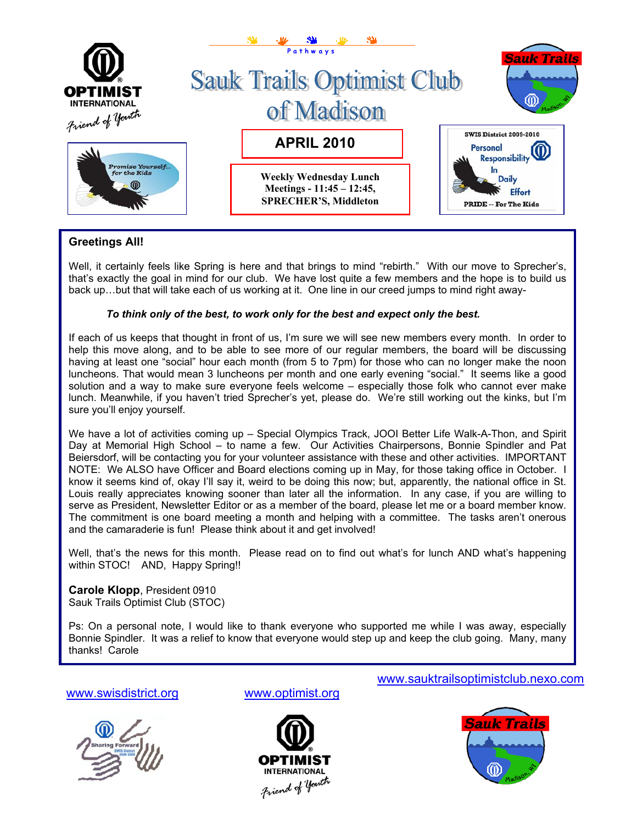

# **Greetings All!**

Well, it certainly feels like Spring is here and that brings to mind "rebirth." With our move to Sprecher's, that's exactly the goal in mind for our club. We have lost quite a few members and the hope is to build us back up…but that will take each of us working at it. One line in our creed jumps to mind right away-

## *To think only of the best, to work only for the best and expect only the best.*

If each of us keeps that thought in front of us, I'm sure we will see new members every month. In order to help this move along, and to be able to see more of our regular members, the board will be discussing having at least one "social" hour each month (from 5 to 7pm) for those who can no longer make the noon luncheons. That would mean 3 luncheons per month and one early evening "social." It seems like a good solution and a way to make sure everyone feels welcome – especially those folk who cannot ever make lunch. Meanwhile, if you haven't tried Sprecher's yet, please do. We're still working out the kinks, but I'm sure you'll enjoy yourself.

We have a lot of activities coming up - Special Olympics Track, JOOI Better Life Walk-A-Thon, and Spirit Day at Memorial High School – to name a few. Our Activities Chairpersons, Bonnie Spindler and Pat Beiersdorf, will be contacting you for your volunteer assistance with these and other activities. IMPORTANT NOTE: We ALSO have Officer and Board elections coming up in May, for those taking office in October. I know it seems kind of, okay I'll say it, weird to be doing this now; but, apparently, the national office in St. Louis really appreciates knowing sooner than later all the information. In any case, if you are willing to serve as President, Newsletter Editor or as a member of the board, please let me or a board member know. The commitment is one board meeting a month and helping with a committee. The tasks aren't onerous and the camaraderie is fun! Please think about it and get involved!

Well, that's the news for this month. Please read on to find out what's for lunch AND what's happening within STOC! AND, Happy Spring!!

**Carole Klopp**, President 0910 Sauk Trails Optimist Club (STOC)

Ps: On a personal note, I would like to thank everyone who supported me while I was away, especially Bonnie Spindler. It was a relief to know that everyone would step up and keep the club going. Many, many thanks! Carole

[www.swisdistrict.org](http://www.swisdistrict.org/) [www.optimist.org](http://www.optimist.org/)





[www.sauktrailsoptimistclub.nexo.com](http://www.sauktrailsoptimistclub.nexo.com/)

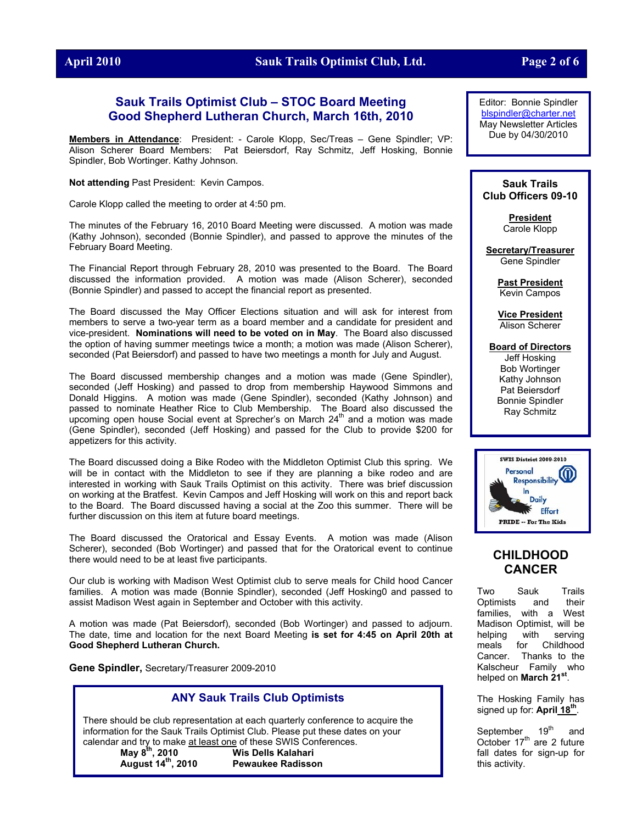#### **April 2010 Sauk Trails Optimist Club, Ltd. Page 2 of 6**

### **Sauk Trails Optimist Club – STOC Board Meeting Good Shepherd Lutheran Church, March 16th, 2010**

**Members in Attendance**: President: - Carole Klopp, Sec/Treas – Gene Spindler; VP: Alison Scherer Board Members: Pat Beiersdorf, Ray Schmitz, Jeff Hosking, Bonnie Spindler, Bob Wortinger. Kathy Johnson.

**Not attending** Past President: Kevin Campos.

Carole Klopp called the meeting to order at 4:50 pm.

The minutes of the February 16, 2010 Board Meeting were discussed. A motion was made (Kathy Johnson), seconded (Bonnie Spindler), and passed to approve the minutes of the February Board Meeting.

The Financial Report through February 28, 2010 was presented to the Board. The Board discussed the information provided. A motion was made (Alison Scherer), seconded (Bonnie Spindler) and passed to accept the financial report as presented.

The Board discussed the May Officer Elections situation and will ask for interest from members to serve a two-year term as a board member and a candidate for president and vice-president. **Nominations will need to be voted on in May**. The Board also discussed the option of having summer meetings twice a month; a motion was made (Alison Scherer), seconded (Pat Beiersdorf) and passed to have two meetings a month for July and August.

The Board discussed membership changes and a motion was made (Gene Spindler), seconded (Jeff Hosking) and passed to drop from membership Haywood Simmons and Donald Higgins. A motion was made (Gene Spindler), seconded (Kathy Johnson) and passed to nominate Heather Rice to Club Membership. The Board also discussed the upcoming open house Social event at Sprecher's on March  $24<sup>th</sup>$  and a motion was made (Gene Spindler), seconded (Jeff Hosking) and passed for the Club to provide \$200 for appetizers for this activity.

The Board discussed doing a Bike Rodeo with the Middleton Optimist Club this spring. We will be in contact with the Middleton to see if they are planning a bike rodeo and are interested in working with Sauk Trails Optimist on this activity. There was brief discussion on working at the Bratfest. Kevin Campos and Jeff Hosking will work on this and report back to the Board. The Board discussed having a social at the Zoo this summer. There will be further discussion on this item at future board meetings.

The Board discussed the Oratorical and Essay Events. A motion was made (Alison Scherer), seconded (Bob Wortinger) and passed that for the Oratorical event to continue there would need to be at least five participants.

Our club is working with Madison West Optimist club to serve meals for Child hood Cancer families. A motion was made (Bonnie Spindler), seconded (Jeff Hosking0 and passed to assist Madison West again in September and October with this activity.

A motion was made (Pat Beiersdorf), seconded (Bob Wortinger) and passed to adjourn. The date, time and location for the next Board Meeting **is set for 4:45 on April 20th at Good Shepherd Lutheran Church.** 

**Gene Spindler,** Secretary/Treasurer 2009-2010

## **ANY Sauk Trails Club Optimists**

There should be club representation at each quarterly conference to acquire the information for the Sauk Trails Optimist Club. Please put these dates on your calendar and try to make at least one of these SWIS Conferences. **May 8th, 2010 Wis Dells Kalahari** 

**August 14th, 2010 Pewaukee Radisson**

Editor: Bonnie Spindler [blspindler@charter.net](mailto:blspindler@charter.net) May Newsletter Articles Due by 04/30/2010

#### **Sauk Trails Club Officers 09-10**

**President** Carole Klopp

**Secretary/Treasurer** Gene Spindler

> **Past President** Kevin Campos

**Vice President** Alison Scherer

**Board of Directors** Jeff Hosking Bob Wortinger Kathy Johnson Pat Beiersdorf Bonnie Spindler Ray Schmitz



# **CHILDHOOD CANCER**

Two Sauk Trails Optimists and their families, with a West Madison Optimist, will be helping with serving meals for Childhood Cancer. Thanks to the Kalscheur Family who helped on **March 21st**.

The Hosking Family has signed up for: **April 18th**.

September 19<sup>th</sup> and October  $17<sup>th</sup>$  are 2 future fall dates for sign-up for this activity.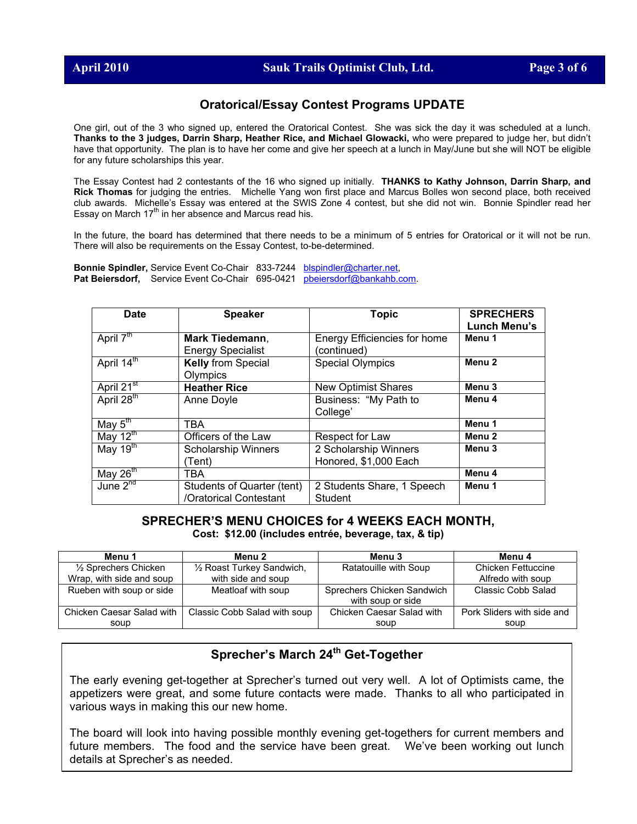## **Oratorical/Essay Contest Programs UPDATE**

One girl, out of the 3 who signed up, entered the Oratorical Contest. She was sick the day it was scheduled at a lunch. **Thanks to the 3 judges, Darrin Sharp, Heather Rice, and Michael Glowacki,** who were prepared to judge her, but didn't have that opportunity. The plan is to have her come and give her speech at a lunch in May/June but she will NOT be eligible for any future scholarships this year.

The Essay Contest had 2 contestants of the 16 who signed up initially. **THANKS to Kathy Johnson, Darrin Sharp, and Rick Thomas** for judging the entries. Michelle Yang won first place and Marcus Bolles won second place, both received club awards. Michelle's Essay was entered at the SWIS Zone 4 contest, but she did not win. Bonnie Spindler read her Essay on March 17<sup>th</sup> in her absence and Marcus read his.

In the future, the board has determined that there needs to be a minimum of 5 entries for Oratorical or it will not be run. There will also be requirements on the Essay Contest, to-be-determined.

**Bonnie Spindler,** Service Event Co-Chair 833-7244 [blspindler@charter.net,](mailto:blspindler@charter.net) **Pat Beiersdorf,** Service Event Co-Chair 695-0421 [pbeiersdorf@bankahb.com](mailto:pbeiersdorf@bankahb.com).

| <b>Date</b>              | <b>Speaker</b>             | <b>Topic</b>                 | <b>SPRECHERS</b>    |
|--------------------------|----------------------------|------------------------------|---------------------|
|                          |                            |                              | <b>Lunch Menu's</b> |
| April $7th$              | Mark Tiedemann,            | Energy Efficiencies for home | Menu 1              |
|                          | <b>Energy Specialist</b>   | (continued)                  |                     |
| April 14 <sup>th</sup>   | <b>Kelly from Special</b>  | <b>Special Olympics</b>      | Menu <sub>2</sub>   |
|                          | Olympics                   |                              |                     |
| April 21 <sup>st</sup>   | <b>Heather Rice</b>        | <b>New Optimist Shares</b>   | Menu <sub>3</sub>   |
| April 28 <sup>th</sup>   | Anne Doyle                 | Business: "My Path to        | Menu 4              |
|                          |                            | College'                     |                     |
| May $5^{\overline{m}}$   | TBA                        |                              | Menu 1              |
| May $\overline{12^{th}}$ | Officers of the Law        | Respect for Law              | Menu <sub>2</sub>   |
| May $19th$               | <b>Scholarship Winners</b> | 2 Scholarship Winners        | Menu <sub>3</sub>   |
|                          | (Tent)                     | Honored, \$1,000 Each        |                     |
| May $26th$               | TBA                        |                              | Menu 4              |
| June $2^{n\sigma}$       | Students of Quarter (tent) | 2 Students Share, 1 Speech   | Menu 1              |
|                          | /Oratorical Contestant     | <b>Student</b>               |                     |

### **SPRECHER'S MENU CHOICES for 4 WEEKS EACH MONTH, Cost: \$12.00 (includes entrée, beverage, tax, & tip)**

| Menu 1                    | Menu 2                       | Menu 3                     | Menu 4                     |
|---------------------------|------------------------------|----------------------------|----------------------------|
| 1/2 Sprechers Chicken     | 1/2 Roast Turkey Sandwich,   | Ratatouille with Soup      | <b>Chicken Fettuccine</b>  |
| Wrap, with side and soup  | with side and soup           |                            | Alfredo with soup          |
| Rueben with soup or side  | Meatloaf with soup           | Sprechers Chicken Sandwich | Classic Cobb Salad         |
|                           |                              | with soup or side          |                            |
| Chicken Caesar Salad with | Classic Cobb Salad with soup | Chicken Caesar Salad with  | Pork Sliders with side and |
| soup                      |                              | soup                       | soup                       |

# **Sprecher's March 24th Get-Together**

The early evening get-together at Sprecher's turned out very well. A lot of Optimists came, the appetizers were great, and some future contacts were made. Thanks to all who participated in various ways in making this our new home.

The board will look into having possible monthly evening get-togethers for current members and future members. The food and the service have been great. We've been working out lunch details at Sprecher's as needed.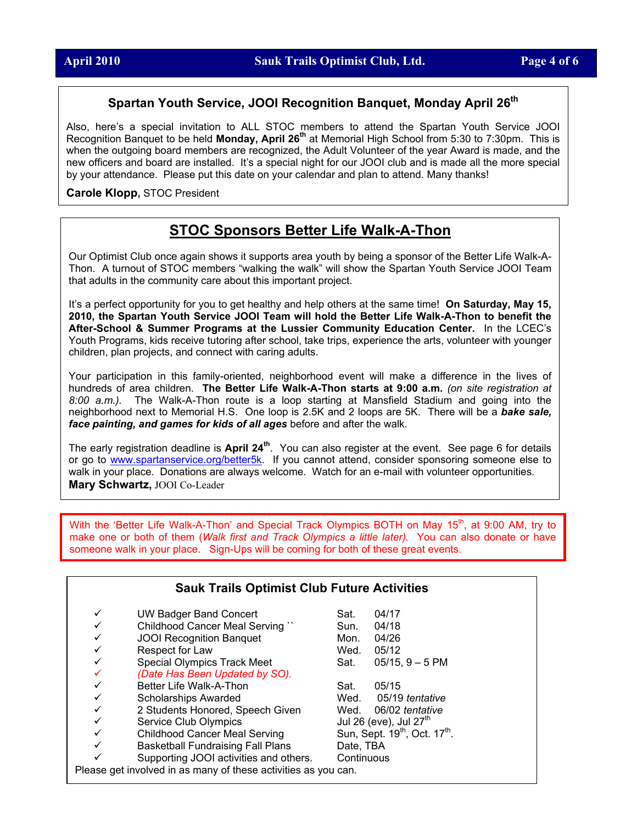# **Spartan Youth Service, JOOI Recognition Banquet, Monday April 26th**

Also, here's a special invitation to ALL STOC members to attend the Spartan Youth Service JOOI Recognition Banquet to be held **Monday, April 26<sup>th</sup> at Memorial High School from 5:30 to 7:30pm.** This is when the outgoing board members are recognized, the Adult Volunteer of the year Award is made, and the new officers and board are installed. It's a special night for our JOOI club and is made all the more special by your attendance. Please put this date on your calendar and plan to attend. Many thanks!

**Carole Klopp,** STOC President

# **STOC Sponsors Better Life Walk-A-Thon**

Our Optimist Club once again shows it supports area youth by being a sponsor of the Better Life Walk-A-Thon. A turnout of STOC members "walking the walk" will show the Spartan Youth Service JOOI Team that adults in the community care about this important project.

It's a perfect opportunity for you to get healthy and help others at the same time! **On Saturday, May 15, 2010, the Spartan Youth Service JOOI Team will hold the Better Life Walk-A-Thon to benefit the After-School & Summer Programs at the Lussier Community Education Center.** In the LCEC's Youth Programs, kids receive tutoring after school, take trips, experience the arts, volunteer with younger children, plan projects, and connect with caring adults.

Your participation in this family-oriented, neighborhood event will make a difference in the lives of hundreds of area children. **The Better Life Walk-A-Thon starts at 9:00 a.m.** *(on site registration at 8:00 a.m.).* The Walk-A-Thon route is a loop starting at Mansfield Stadium and going into the neighborhood next to Memorial H.S. One loop is 2.5K and 2 loops are 5K. There will be a *bake sale, face painting, and games for kids of all ages* before and after the walk.

The early registration deadline is **April 24th**. You can also register at the event. See page 6 for details or g[o to www.spartanservice.org/better](http://www.spartanservice.org/better5k)5k. If you cannot attend, consider sponsoring someone else to walk in your place. Donations are always welcome. Watch for an e-mail with volunteer opportunities. **Mary Schwartz,** JOOI Co-Leader

With the 'Better Life Walk-A-Thon' and Special Track Olympics BOTH on May 15<sup>th</sup>, at 9:00 AM, try to make one or both of them (*Walk first and Track Olympics a little later).* You can also donate or have someone walk in your place. Sign-Ups will be coming for both of these great events.

| <b>Sauk Trails Optimist Club Future Activities</b>             |            |                                                       |  |
|----------------------------------------------------------------|------------|-------------------------------------------------------|--|
| <b>UW Badger Band Concert</b>                                  | Sat.       | 04/17                                                 |  |
| Childhood Cancer Meal Serving "                                | Sun.       | 04/18                                                 |  |
| <b>JOOI Recognition Banquet</b>                                | Mon.       | 04/26                                                 |  |
| Respect for Law                                                | Wed.       | 05/12                                                 |  |
| <b>Special Olympics Track Meet</b>                             | Sat.       | $05/15$ , $9-5$ PM                                    |  |
| (Date Has Been Updated by SO).                                 |            |                                                       |  |
| Better Life Walk-A-Thon                                        | Sat.       | 05/15                                                 |  |
| <b>Scholarships Awarded</b>                                    | Wed.       | 05/19 tentative                                       |  |
| 2 Students Honored, Speech Given                               | Wed.       | 06/02 tentative                                       |  |
| Service Club Olympics                                          |            | Jul 26 (eve), Jul $27tn$                              |  |
| <b>Childhood Cancer Meal Serving</b>                           |            | Sun, Sept. 19 <sup>th</sup> , Oct. 17 <sup>th</sup> . |  |
| <b>Basketball Fundraising Fall Plans</b>                       | Date, TBA  |                                                       |  |
| Supporting JOOI activities and others.                         | Continuous |                                                       |  |
| Please get involved in as many of these activities as you can. |            |                                                       |  |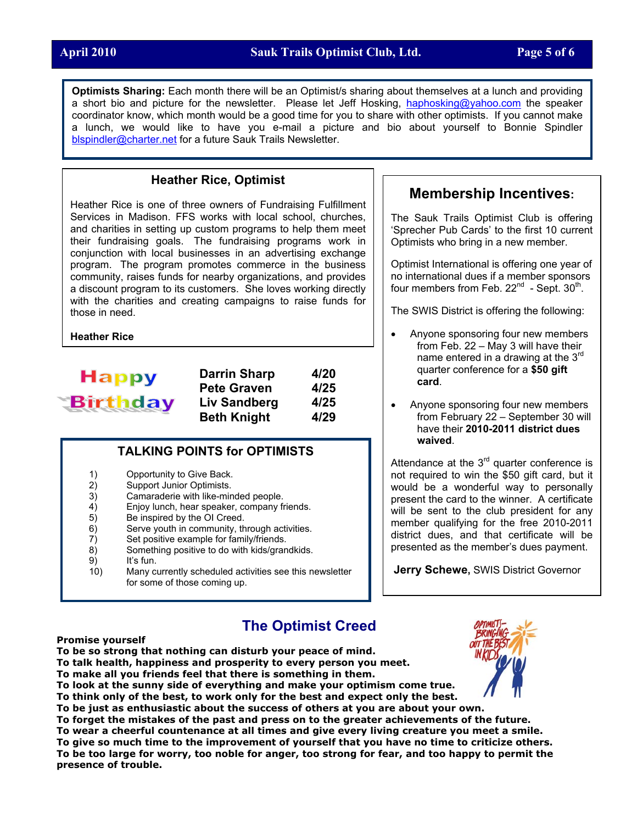**Optimists Sharing:** Each month there will be an Optimist/s sharing about themselves at a lunch and providing a short bio and picture for the newsletter. Please let Jeff Hosking, [haphosking@yahoo.com](mailto:haphosking@yahoo.com) the speaker coordinator know, which month would be a good time for you to share with other optimists. If you cannot make a lunch, we would like to have you e-mail a picture and bio about yourself to Bonnie Spindler [blspindler@charter.net](mailto:blspindler@charter.net) for a future Sauk Trails Newsletter.

## **Heather Rice, Optimist**

Heather Rice is one of three owners of Fundraising Fulfillment Services in Madison. FFS works with local school, churches, and charities in setting up custom programs to help them meet their fundraising goals. The fundraising programs work in conjunction with local businesses in an advertising exchange program. The program promotes commerce in the business community, raises funds for nearby organizations, and provides a discount program to its customers. She loves working directly with the charities and creating campaigns to raise funds for those in need.

**Heather Rice**



**Darrin Sharp 4/20**  Pete Graven 4/25 **Liv Sandberg 4/25 Beth Knight 4/29** 

#### **TALKING POINTS for OPTIMISTS**

- 1) Opportunity to Give Back.
- 2) Support Junior Optimists.
- 3) Camaraderie with like-minded people.
- 4) Enjoy lunch, hear speaker, company friends.<br>5) Be inspired by the OI Creed.
- 5) Be inspired by the OI Creed.
- 6) Serve youth in community, through activities.
- 7) Set positive example for family/friends.
- 8) Something positive to do with kids/grandkids.
- 9) It's fun.<br>10) Many cu
- Many currently scheduled activities see this newsletter for some of those coming up.

# **Membership Incentives:**

The Sauk Trails Optimist Club is offering 'Sprecher Pub Cards' to the first 10 current Optimists who bring in a new member.

Optimist International is offering one year of no international dues if a member sponsors four members from Feb.  $22^{nd}$  - Sept.  $30^{th}$ .

The SWIS District is offering the following:

- Anyone sponsoring four new members from Feb. 22 – May 3 will have their name entered in a drawing at the 3rd quarter conference for a **\$50 gift card**.
- Anyone sponsoring four new members from February 22 – September 30 will have their **2010-2011 district dues waived**.

Attendance at the  $3<sup>rd</sup>$  quarter conference is not required to win the \$50 gift card, but it would be a wonderful way to personally present the card to the winner. A certificate will be sent to the club president for any member qualifying for the free 2010-2011 district dues, and that certificate will be presented as the member's dues payment.

**Jerry Schewe,** SWIS District Governor

# **The Optimist Creed**

#### **Promise yourself**

**To be so strong that nothing can disturb your peace of mind.** 

**To talk health, happiness and prosperity to every person you meet.** 

**To make all you friends feel that there is something in them.** 

**To look at the sunny side of everything and make your optimism come true.** 

**To think only of the best, to work only for the best and expect only the best.** 

**To be just as enthusiastic about the success of others at you are about your own.** 

**To forget the mistakes of the past and press on to the greater achievements of the future. To wear a cheerful countenance at all times and give every living creature you meet a smile. To give so much time to the improvement of yourself that you have no time to criticize others. To be too large for worry, too noble for anger, too strong for fear, and too happy to permit the presence of trouble.**